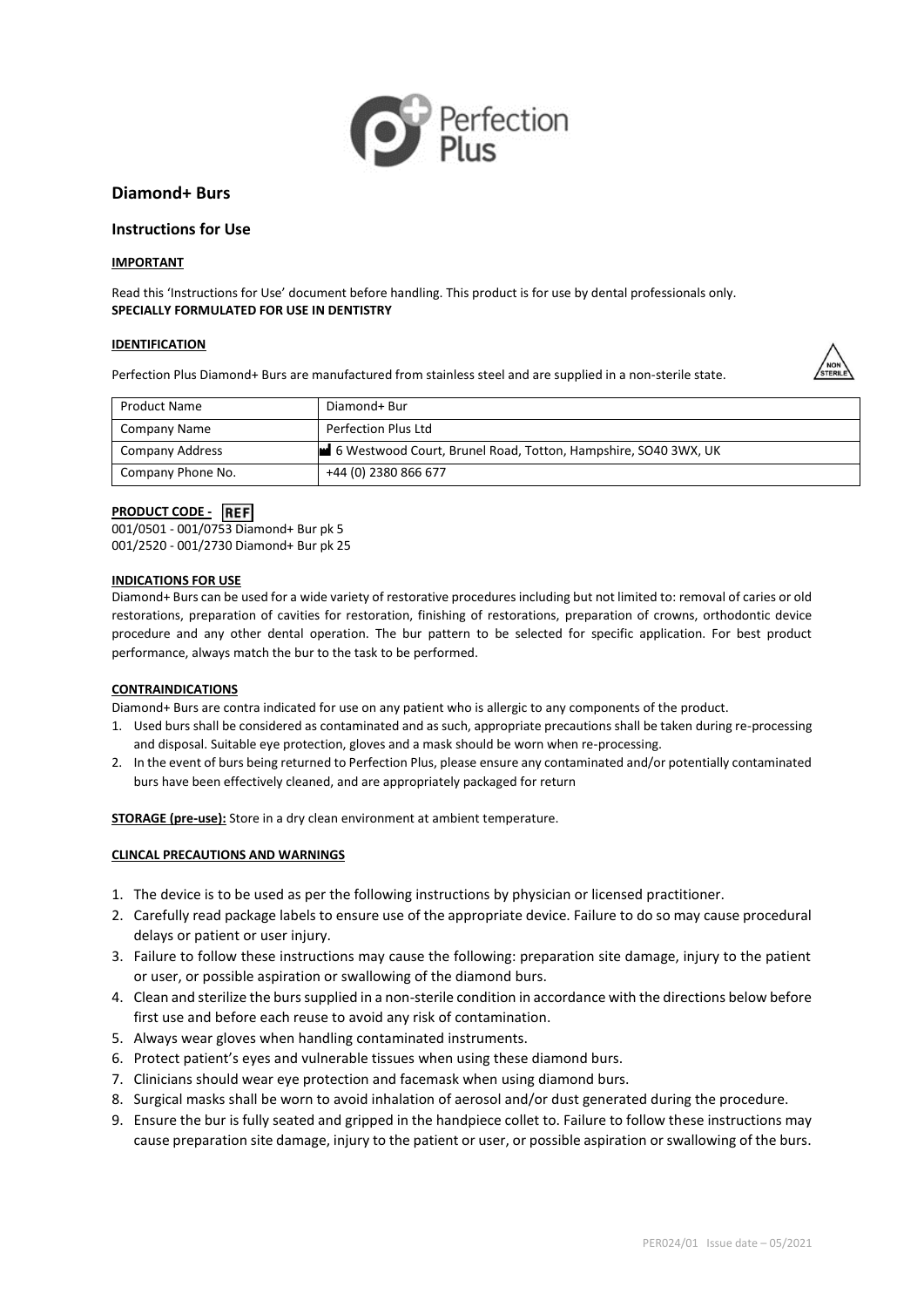

# **Diamond+ Burs**

# **Instructions for Use**

## **IMPORTANT**

Read this 'Instructions for Use' document before handling. This product is for use by dental professionals only. **SPECIALLY FORMULATED FOR USE IN DENTISTRY**

### **IDENTIFICATION**

Perfection Plus Diamond+ Burs are manufactured from stainless steel and are supplied in a non-sterile state.



| Product Name           | Diamond+ Bur                                                   |
|------------------------|----------------------------------------------------------------|
| Company Name           | Perfection Plus Ltd                                            |
| <b>Company Address</b> | 6 Westwood Court, Brunel Road, Totton, Hampshire, SO40 3WX, UK |
| Company Phone No.      | +44 (0) 2380 866 677                                           |

# **PRODUCT CODE -** REF

001/0501 - 001/0753 Diamond+ Bur pk 5 001/2520 - 001/2730 Diamond+ Bur pk 25

### **INDICATIONS FOR USE**

Diamond+ Burs can be used for a wide variety of restorative procedures including but not limited to: removal of caries or old restorations, preparation of cavities for restoration, finishing of restorations, preparation of crowns, orthodontic device procedure and any other dental operation. The bur pattern to be selected for specific application. For best product performance, always match the bur to the task to be performed.

## **CONTRAINDICATIONS**

Diamond+ Burs are contra indicated for use on any patient who is allergic to any components of the product.

- 1. Used burs shall be considered as contaminated and as such, appropriate precautions shall be taken during re-processing and disposal. Suitable eye protection, gloves and a mask should be worn when re-processing.
- 2. In the event of burs being returned to Perfection Plus, please ensure any contaminated and/or potentially contaminated burs have been effectively cleaned, and are appropriately packaged for return

**STORAGE (pre-use):** Store in a dry clean environment at ambient temperature.

## **CLINCAL PRECAUTIONS AND WARNINGS**

- 1. The device is to be used as per the following instructions by physician or licensed practitioner.
- 2. Carefully read package labels to ensure use of the appropriate device. Failure to do so may cause procedural delays or patient or user injury.
- 3. Failure to follow these instructions may cause the following: preparation site damage, injury to the patient or user, or possible aspiration or swallowing of the diamond burs.
- 4. Clean and sterilize the burs supplied in a non-sterile condition in accordance with the directions below before first use and before each reuse to avoid any risk of contamination.
- 5. Always wear gloves when handling contaminated instruments.
- 6. Protect patient's eyes and vulnerable tissues when using these diamond burs.
- 7. Clinicians should wear eye protection and facemask when using diamond burs.
- 8. Surgical masks shall be worn to avoid inhalation of aerosol and/or dust generated during the procedure.
- 9. Ensure the bur is fully seated and gripped in the handpiece collet to. Failure to follow these instructions may cause preparation site damage, injury to the patient or user, or possible aspiration or swallowing of the burs.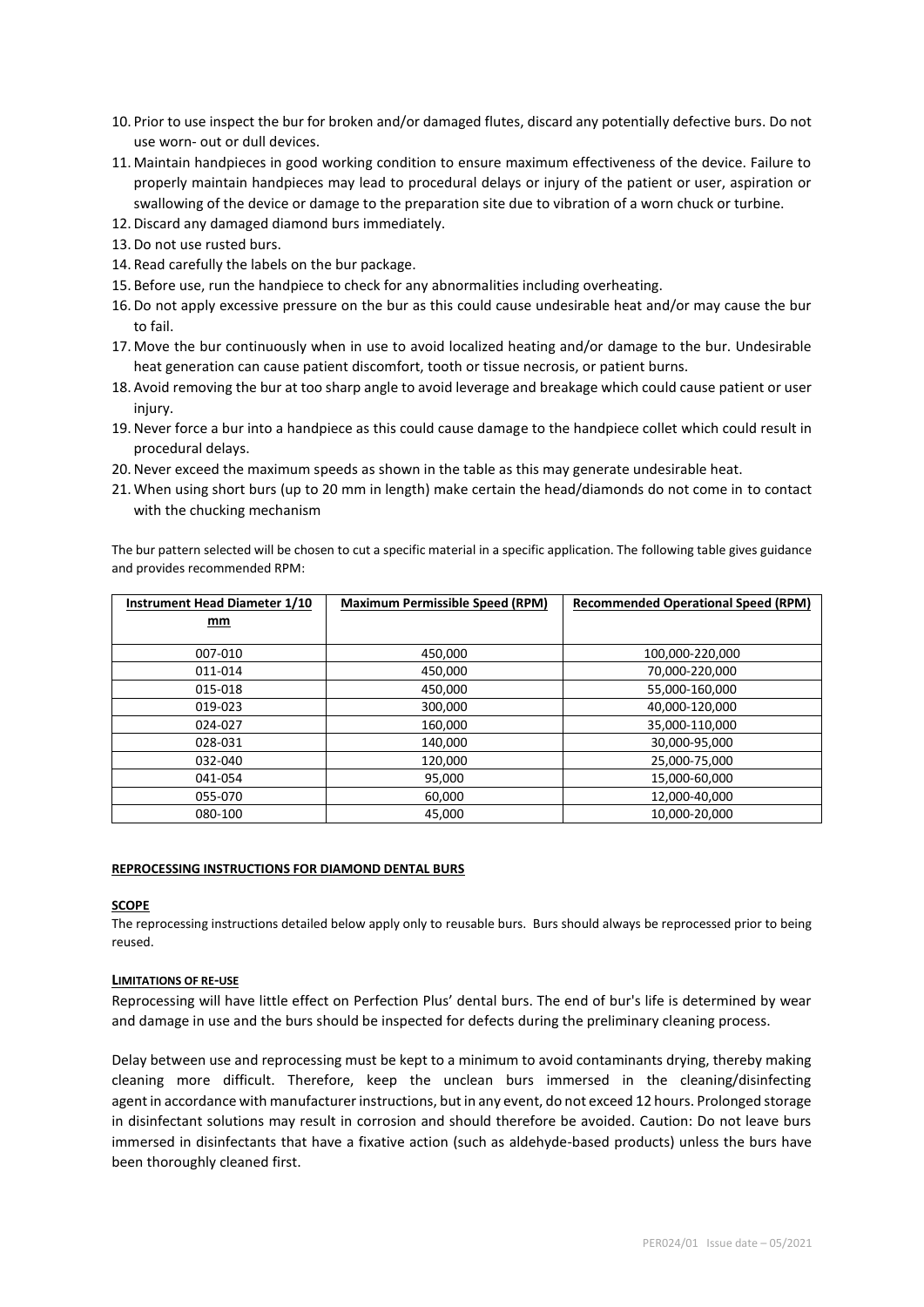- 10. Prior to use inspect the bur for broken and/or damaged flutes, discard any potentially defective burs. Do not use worn- out or dull devices.
- 11. Maintain handpieces in good working condition to ensure maximum effectiveness of the device. Failure to properly maintain handpieces may lead to procedural delays or injury of the patient or user, aspiration or swallowing of the device or damage to the preparation site due to vibration of a worn chuck or turbine.
- 12. Discard any damaged diamond burs immediately.
- 13. Do not use rusted burs.
- 14. Read carefully the labels on the bur package.
- 15. Before use, run the handpiece to check for any abnormalities including overheating.
- 16. Do not apply excessive pressure on the bur as this could cause undesirable heat and/or may cause the bur to fail.
- 17. Move the bur continuously when in use to avoid localized heating and/or damage to the bur. Undesirable heat generation can cause patient discomfort, tooth or tissue necrosis, or patient burns.
- 18. Avoid removing the bur at too sharp angle to avoid leverage and breakage which could cause patient or user injury.
- 19.Never force a bur into a handpiece as this could cause damage to the handpiece collet which could result in procedural delays.
- 20.Never exceed the maximum speeds as shown in the table as this may generate undesirable heat.
- 21. When using short burs (up to 20 mm in length) make certain the head/diamonds do not come in to contact with the chucking mechanism

The bur pattern selected will be chosen to cut a specific material in a specific application. The following table gives guidance and provides recommended RPM:

| Instrument Head Diameter 1/10 | <b>Maximum Permissible Speed (RPM)</b><br><b>Recommended Operational Speed (RPM)</b> |                 |
|-------------------------------|--------------------------------------------------------------------------------------|-----------------|
| mm                            |                                                                                      |                 |
|                               |                                                                                      |                 |
| 007-010                       | 450,000                                                                              | 100,000-220,000 |
| 011-014                       | 450,000                                                                              | 70,000-220,000  |
| 015-018                       | 450,000                                                                              | 55,000-160,000  |
| 019-023                       | 300,000                                                                              | 40,000-120,000  |
| 024-027                       | 160,000                                                                              | 35,000-110,000  |
| 028-031                       | 140,000                                                                              | 30,000-95,000   |
| 032-040                       | 120,000                                                                              | 25,000-75,000   |
| 041-054                       | 95,000                                                                               | 15,000-60,000   |
| 055-070                       | 60,000                                                                               | 12,000-40,000   |
| 080-100                       | 45,000                                                                               | 10,000-20,000   |

#### **REPROCESSING INSTRUCTIONS FOR DIAMOND DENTAL BURS**

#### **SCOPE**

The reprocessing instructions detailed below apply only to reusable burs. Burs should always be reprocessed prior to being reused.

## **LIMITATIONS OF RE-USE**

Reprocessing will have little effect on Perfection Plus' dental burs. The end of bur's life is determined by wear and damage in use and the burs should be inspected for defects during the preliminary cleaning process.

Delay between use and reprocessing must be kept to a minimum to avoid contaminants drying, thereby making cleaning more difficult. Therefore, keep the unclean burs immersed in the cleaning/disinfecting agent in accordance with manufacturer instructions, but in any event, do not exceed 12 hours. Prolonged storage in disinfectant solutions may result in corrosion and should therefore be avoided. Caution: Do not leave burs immersed in disinfectants that have a fixative action (such as aldehyde-based products) unless the burs have been thoroughly cleaned first.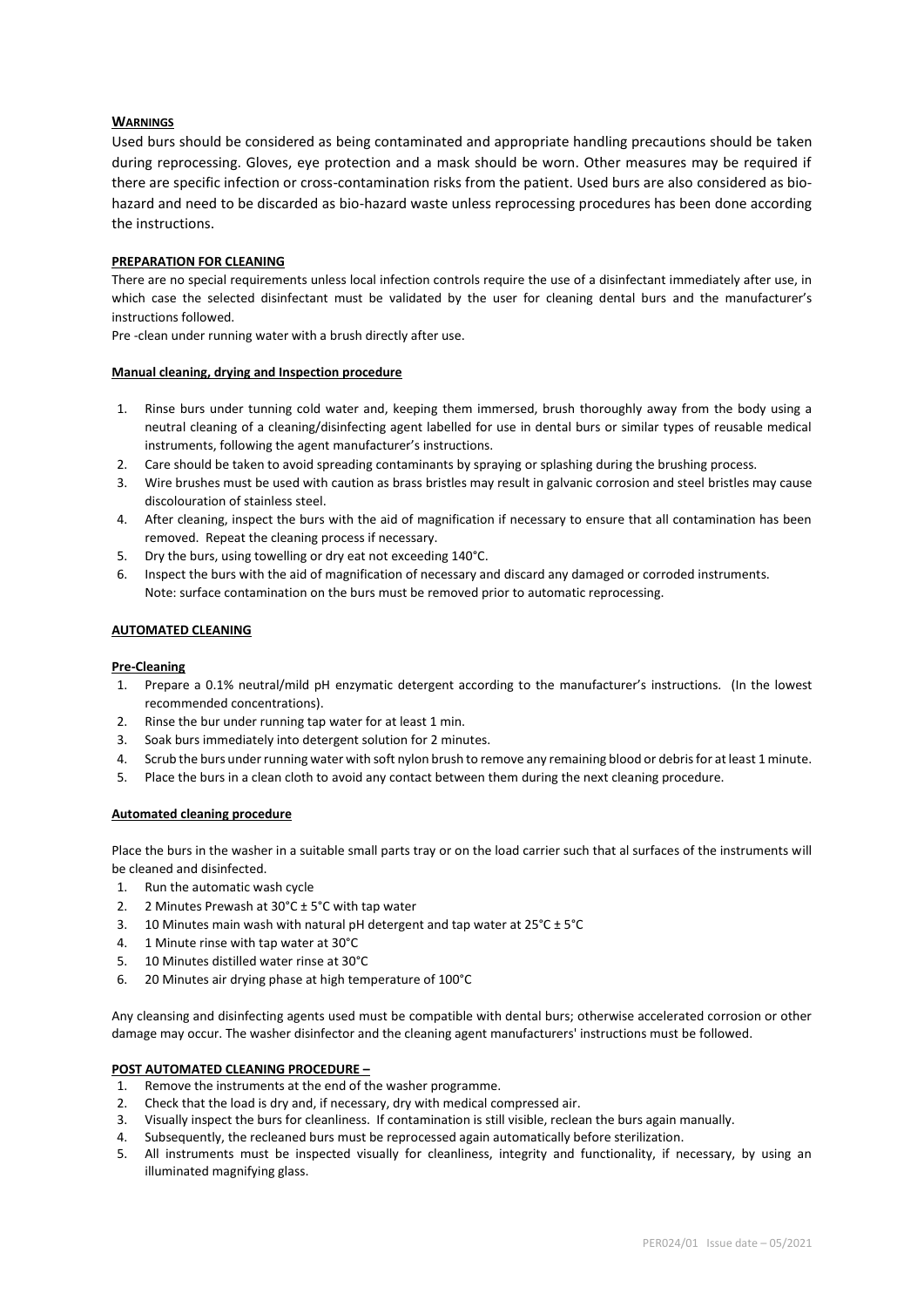# **WARNINGS**

Used burs should be considered as being contaminated and appropriate handling precautions should be taken during reprocessing. Gloves, eye protection and a mask should be worn. Other measures may be required if there are specific infection or cross-contamination risks from the patient. Used burs are also considered as biohazard and need to be discarded as bio-hazard waste unless reprocessing procedures has been done according the instructions.

## **PREPARATION FOR CLEANING**

There are no special requirements unless local infection controls require the use of a disinfectant immediately after use, in which case the selected disinfectant must be validated by the user for cleaning dental burs and the manufacturer's instructions followed.

Pre -clean under running water with a brush directly after use.

### **Manual cleaning, drying and Inspection procedure**

- 1. Rinse burs under tunning cold water and, keeping them immersed, brush thoroughly away from the body using a neutral cleaning of a cleaning/disinfecting agent labelled for use in dental burs or similar types of reusable medical instruments, following the agent manufacturer's instructions.
- 2. Care should be taken to avoid spreading contaminants by spraying or splashing during the brushing process.
- 3. Wire brushes must be used with caution as brass bristles may result in galvanic corrosion and steel bristles may cause discolouration of stainless steel.
- 4. After cleaning, inspect the burs with the aid of magnification if necessary to ensure that all contamination has been removed. Repeat the cleaning process if necessary.
- 5. Dry the burs, using towelling or dry eat not exceeding 140°C.
- 6. Inspect the burs with the aid of magnification of necessary and discard any damaged or corroded instruments. Note: surface contamination on the burs must be removed prior to automatic reprocessing.

## **AUTOMATED CLEANING**

## **Pre-Cleaning**

- 1. Prepare a 0.1% neutral/mild pH enzymatic detergent according to the manufacturer's instructions. (In the lowest recommended concentrations).
- 2. Rinse the bur under running tap water for at least 1 min.
- 3. Soak burs immediately into detergent solution for 2 minutes.
- 4. Scrub the burs under running water with soft nylon brush to remove any remaining blood or debris for at least 1 minute.
- 5. Place the burs in a clean cloth to avoid any contact between them during the next cleaning procedure.

## **Automated cleaning procedure**

Place the burs in the washer in a suitable small parts tray or on the load carrier such that al surfaces of the instruments will be cleaned and disinfected.

- 1. Run the automatic wash cycle
- 2. 2 Minutes Prewash at 30°C ± 5°C with tap water
- 3. 10 Minutes main wash with natural pH detergent and tap water at  $25^{\circ}$ C ±  $5^{\circ}$ C
- 4. 1 Minute rinse with tap water at 30°C
- 5. 10 Minutes distilled water rinse at 30°C
- 6. 20 Minutes air drying phase at high temperature of 100°C

Any cleansing and disinfecting agents used must be compatible with dental burs; otherwise accelerated corrosion or other damage may occur. The washer disinfector and the cleaning agent manufacturers' instructions must be followed.

## **POST AUTOMATED CLEANING PROCEDURE –**

- 1. Remove the instruments at the end of the washer programme.
- 2. Check that the load is dry and, if necessary, dry with medical compressed air.
- 3. Visually inspect the burs for cleanliness. If contamination is still visible, reclean the burs again manually.
- 4. Subsequently, the recleaned burs must be reprocessed again automatically before sterilization.
- 5. All instruments must be inspected visually for cleanliness, integrity and functionality, if necessary, by using an illuminated magnifying glass.